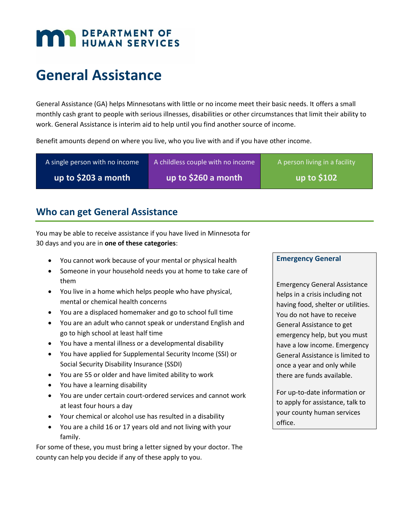# **MAN DEPARTMENT OF HUMAN SERVICES**

# **General Assistance**

General Assistance (GA) helps Minnesotans with little or no income meet their basic needs. It offers a small monthly cash grant to people with serious illnesses, disabilities or other circumstances that limit their ability to work. General Assistance is interim aid to help until you find another source of income.

Benefit amounts depend on where you live, who you live with and if you have other income.

| A single person with no income | A childless couple with no income | A person living in a facility |
|--------------------------------|-----------------------------------|-------------------------------|
| up to \$203 a month            | up to \$260 a month               | up to $$102$                  |
|                                |                                   |                               |

# **Who can get General Assistance**

You may be able to receive assistance if you have lived in Minnesota for 30 days and you are in **one of these categories**:

- You cannot work because of your mental or physical health
- Someone in your household needs you at home to take care of them
- You live in a home which helps people who have physical, mental or chemical health concerns
- You are a displaced homemaker and go to school full time
- You are an adult who cannot speak or understand English and go to high school at least half time
- You have a mental illness or a developmental disability
- You have applied for Supplemental Security Income (SSI) or Social Security Disability Insurance (SSDI)
- You are 55 or older and have limited ability to work
- You have a learning disability
- You are under certain court-ordered services and cannot work at least four hours a day
- Your chemical or alcohol use has resulted in a disability
- You are a child 16 or 17 years old and not living with your family.

For some of these, you must bring a letter signed by your doctor. The county can help you decide if any of these apply to you.

#### **Emergency General**

Emergency General Assistance helps in a crisis including not having food, shelter or utilities. You do not have to receive General Assistance to get emergency help, but you must have a low income. Emergency General Assistance is limited to once a year and only while there are funds available.

For up-to-date information or to apply for assistance, talk to your county human services office.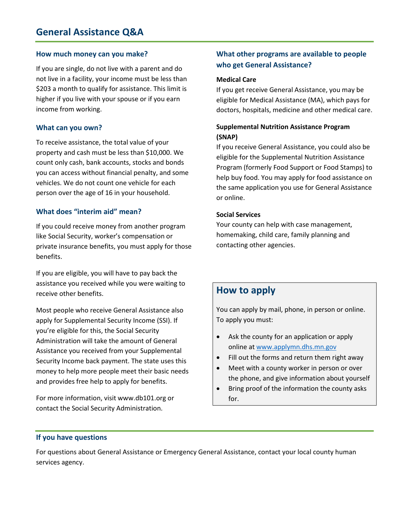#### **How much money can you make?**

If you are single, do not live with a parent and do not live in a facility, your income must be less than \$203 a month to qualify for assistance. This limit is higher if you live with your spouse or if you earn income from working.

#### **What can you own?**

To receive assistance, the total value of your property and cash must be less than \$10,000. We count only cash, bank accounts, stocks and bonds you can access without financial penalty, and some vehicles. We do not count one vehicle for each person over the age of 16 in your household.

#### **What does "interim aid" mean?**

If you could receive money from another program like Social Security, worker's compensation or private insurance benefits, you must apply for those benefits.

If you are eligible, you will have to pay back the assistance you received while you were waiting to receive other benefits.

Most people who receive General Assistance also apply for Supplemental Security Income (SSI). If you're eligible for this, the Social Security Administration will take the amount of General Assistance you received from your Supplemental Security Income back payment. The state uses this money to help more people meet their basic needs and provides free help to apply for benefits.

For more information, visit www.db101.org or contact the Social Security Administration.

#### **What other programs are available to people who get General Assistance?**

#### **Medical Care**

If you get receive General Assistance, you may be eligible for Medical Assistance (MA), which pays for doctors, hospitals, medicine and other medical care.

#### **Supplemental Nutrition Assistance Program (SNAP)**

If you receive General Assistance, you could also be eligible for the Supplemental Nutrition Assistance Program (formerly Food Support or Food Stamps) to help buy food. You may apply for food assistance on the same application you use for General Assistance or online.

#### **Social Services**

Your county can help with case management, homemaking, child care, family planning and contacting other agencies.

## **How to apply**

You can apply by mail, phone, in person or online. To apply you must:

- Ask the county for an application or apply online at [www.applymn.dhs.mn.gov](http://www.applymn.dhs.mn.gov/)
- Fill out the forms and return them right away
- Meet with a county worker in person or over the phone, and give information about yourself
- Bring proof of the information the county asks for.

#### **If you have questions**

For questions about General Assistance or Emergency General Assistance, contact your local county human services agency.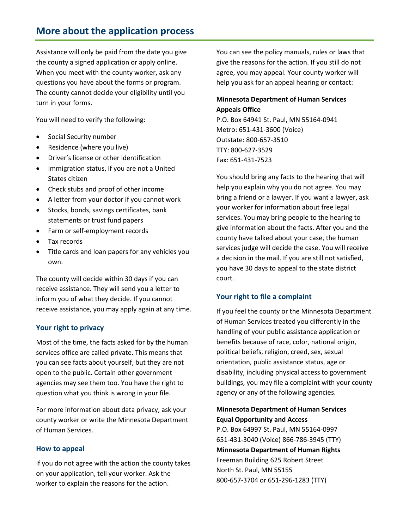# **More about the application process**

Assistance will only be paid from the date you give the county a signed application or apply online. When you meet with the county worker, ask any questions you have about the forms or program. The county cannot decide your eligibility until you turn in your forms.

You will need to verify the following:

- Social Security number
- Residence (where you live)
- Driver's license or other identification
- Immigration status, if you are not a United States citizen
- Check stubs and proof of other income
- A letter from your doctor if you cannot work
- Stocks, bonds, savings certificates, bank statements or trust fund papers
- Farm or self-employment records
- Tax records
- Title cards and loan papers for any vehicles you own.

The county will decide within 30 days if you can receive assistance. They will send you a letter to inform you of what they decide. If you cannot receive assistance, you may apply again at any time.

#### **Your right to privacy**

Most of the time, the facts asked for by the human services office are called private. This means that you can see facts about yourself, but they are not open to the public. Certain other government agencies may see them too. You have the right to question what you think is wrong in your file.

For more information about data privacy, ask your county worker or write the Minnesota Department of Human Services.

#### **How to appeal**

If you do not agree with the action the county takes on your application, tell your worker. Ask the worker to explain the reasons for the action.

You can see the policy manuals, rules or laws that give the reasons for the action. If you still do not agree, you may appeal. Your county worker will help you ask for an appeal hearing or contact:

#### **Minnesota Department of Human Services Appeals Office**

P.O. Box 64941 St. Paul, MN 55164-0941 Metro: 651-431-3600 (Voice) Outstate: 800-657-3510 TTY: 800-627-3529 Fax: 651-431-7523

You should bring any facts to the hearing that will help you explain why you do not agree. You may bring a friend or a lawyer. If you want a lawyer, ask your worker for information about free legal services. You may bring people to the hearing to give information about the facts. After you and the county have talked about your case, the human services judge will decide the case. You will receive a decision in the mail. If you are still not satisfied, you have 30 days to appeal to the state district court.

#### **Your right to file a complaint**

If you feel the county or the Minnesota Department of Human Services treated you differently in the handling of your public assistance application or benefits because of race, color, national origin, political beliefs, religion, creed, sex, sexual orientation, public assistance status, age or disability, including physical access to government buildings, you may file a complaint with your county agency or any of the following agencies.

#### **Minnesota Department of Human Services Equal Opportunity and Access**

P.O. Box 64997 St. Paul, MN 55164-0997 651-431-3040 (Voice) 866-786-3945 (TTY) **Minnesota Department of Human Rights** Freeman Building 625 Robert Street North St. Paul, MN 55155 800-657-3704 or 651-296-1283 (TTY)